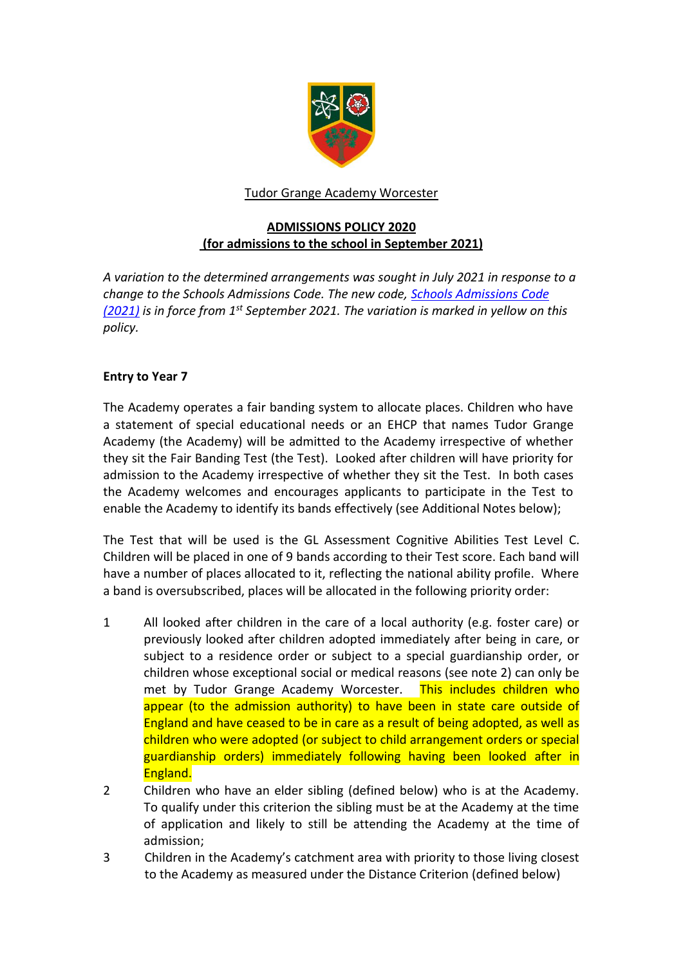

# Tudor Grange Academy Worcester

# **ADMISSIONS POLICY 2020 (for admissions to the school in September 2021)**

*A variation to the determined arrangements was sought in July 2021 in response to a change to the Schools Admissions Code. The new code, [Schools Admissions Code](https://www.gov.uk/government/publications/school-admissions-code--2)  [\(2021\)](https://www.gov.uk/government/publications/school-admissions-code--2) is in force from 1st September 2021. The variation is marked in yellow on this policy.*

# **Entry to Year 7**

The Academy operates a fair banding system to allocate places. Children who have a statement of special educational needs or an EHCP that names Tudor Grange Academy (the Academy) will be admitted to the Academy irrespective of whether they sit the Fair Banding Test (the Test). Looked after children will have priority for admission to the Academy irrespective of whether they sit the Test. In both cases the Academy welcomes and encourages applicants to participate in the Test to enable the Academy to identify its bands effectively (see Additional Notes below);

The Test that will be used is the GL Assessment Cognitive Abilities Test Level C. Children will be placed in one of 9 bands according to their Test score. Each band will have a number of places allocated to it, reflecting the national ability profile. Where a band is oversubscribed, places will be allocated in the following priority order:

- 1 All looked after children in the care of a local authority (e.g. foster care) or previously looked after children adopted immediately after being in care, or subject to a residence order or subject to a special guardianship order, or children whose exceptional social or medical reasons (see note 2) can only be met by Tudor Grange Academy Worcester. This includes children who appear (to the admission authority) to have been in state care outside of England and have ceased to be in care as a result of being adopted, as well as children who were adopted (or subject to child arrangement orders or special guardianship orders) immediately following having been looked after in England.
- 2 Children who have an elder sibling (defined below) who is at the Academy. To qualify under this criterion the sibling must be at the Academy at the time of application and likely to still be attending the Academy at the time of admission;
- 3 Children in the Academy's catchment area with priority to those living closest to the Academy as measured under the Distance Criterion (defined below)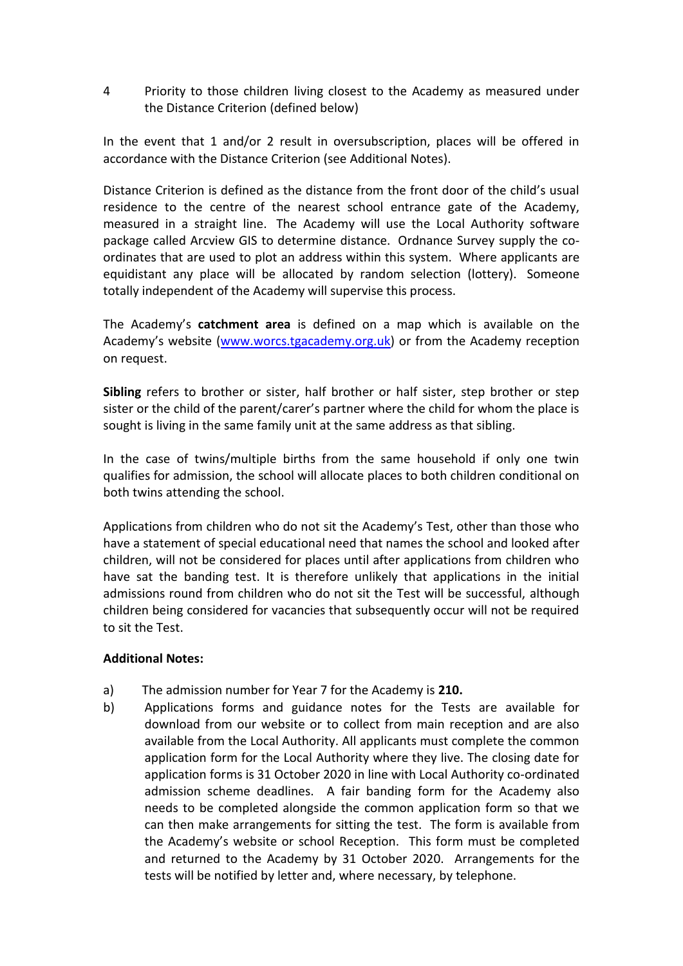4 Priority to those children living closest to the Academy as measured under the Distance Criterion (defined below)

In the event that 1 and/or 2 result in oversubscription, places will be offered in accordance with the Distance Criterion (see Additional Notes).

Distance Criterion is defined as the distance from the front door of the child's usual residence to the centre of the nearest school entrance gate of the Academy, measured in a straight line. The Academy will use the Local Authority software package called Arcview GIS to determine distance. Ordnance Survey supply the coordinates that are used to plot an address within this system. Where applicants are equidistant any place will be allocated by random selection (lottery). Someone totally independent of the Academy will supervise this process.

The Academy's **catchment area** is defined on a map which is available on the Academy's website ([www.worcs.tgacademy.org.uk\)](http://www.worcs.tgacademy.org.uk/) or from the Academy reception on request.

**Sibling** refers to brother or sister, half brother or half sister, step brother or step sister or the child of the parent/carer's partner where the child for whom the place is sought is living in the same family unit at the same address as that sibling.

In the case of twins/multiple births from the same household if only one twin qualifies for admission, the school will allocate places to both children conditional on both twins attending the school.

Applications from children who do not sit the Academy's Test, other than those who have a statement of special educational need that names the school and looked after children, will not be considered for places until after applications from children who have sat the banding test. It is therefore unlikely that applications in the initial admissions round from children who do not sit the Test will be successful, although children being considered for vacancies that subsequently occur will not be required to sit the Test.

## **Additional Notes:**

- a) The admission number for Year 7 for the Academy is **210.**
- b) Applications forms and guidance notes for the Tests are available for download from our website or to collect from main reception and are also available from the Local Authority. All applicants must complete the common application form for the Local Authority where they live. The closing date for application forms is 31 October 2020 in line with Local Authority co-ordinated admission scheme deadlines. A fair banding form for the Academy also needs to be completed alongside the common application form so that we can then make arrangements for sitting the test. The form is available from the Academy's website or school Reception. This form must be completed and returned to the Academy by 31 October 2020. Arrangements for the tests will be notified by letter and, where necessary, by telephone.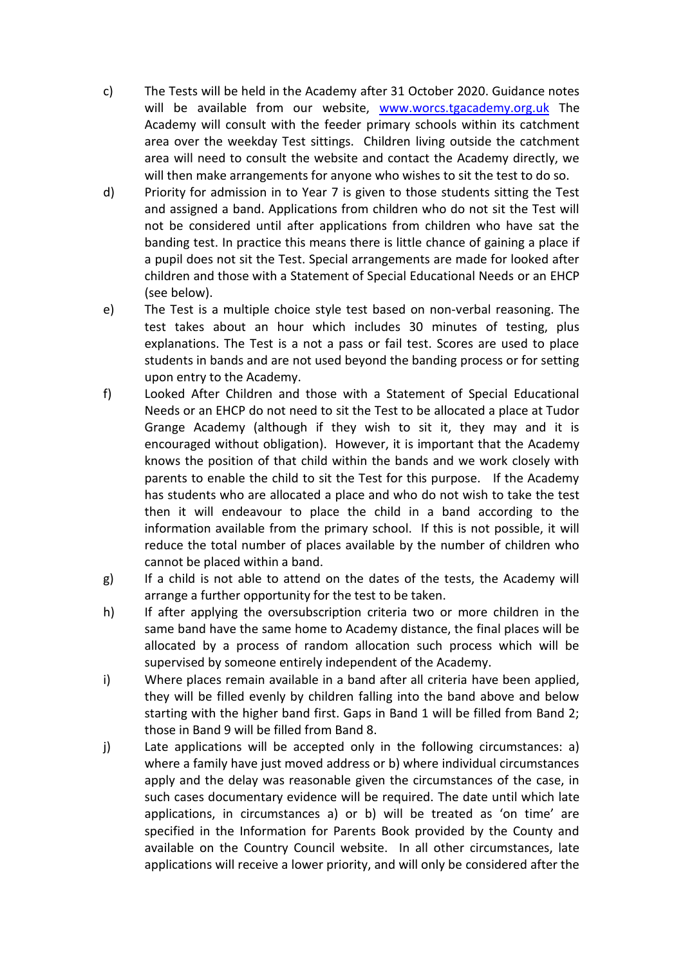- c) The Tests will be held in the Academy after 31 October 2020. Guidance notes will be available from our website, [www.worcs.tgacademy.org.uk](http://www.worcs.tgacademy.org.uk/) The Academy will consult with the feeder primary schools within its catchment area over the weekday Test sittings. Children living outside the catchment area will need to consult the website and contact the Academy directly, we will then make arrangements for anyone who wishes to sit the test to do so.
- d) Priority for admission in to Year 7 is given to those students sitting the Test and assigned a band. Applications from children who do not sit the Test will not be considered until after applications from children who have sat the banding test. In practice this means there is little chance of gaining a place if a pupil does not sit the Test. Special arrangements are made for looked after children and those with a Statement of Special Educational Needs or an EHCP (see below).
- e) The Test is a multiple choice style test based on non‐verbal reasoning. The test takes about an hour which includes 30 minutes of testing, plus explanations. The Test is a not a pass or fail test. Scores are used to place students in bands and are not used beyond the banding process or for setting upon entry to the Academy.
- f) Looked After Children and those with a Statement of Special Educational Needs or an EHCP do not need to sit the Test to be allocated a place at Tudor Grange Academy (although if they wish to sit it, they may and it is encouraged without obligation). However, it is important that the Academy knows the position of that child within the bands and we work closely with parents to enable the child to sit the Test for this purpose. If the Academy has students who are allocated a place and who do not wish to take the test then it will endeavour to place the child in a band according to the information available from the primary school. If this is not possible, it will reduce the total number of places available by the number of children who cannot be placed within a band.
- g) If a child is not able to attend on the dates of the tests, the Academy will arrange a further opportunity for the test to be taken.
- h) If after applying the oversubscription criteria two or more children in the same band have the same home to Academy distance, the final places will be allocated by a process of random allocation such process which will be supervised by someone entirely independent of the Academy.
- i) Where places remain available in a band after all criteria have been applied, they will be filled evenly by children falling into the band above and below starting with the higher band first. Gaps in Band 1 will be filled from Band 2; those in Band 9 will be filled from Band 8.
- j) Late applications will be accepted only in the following circumstances: a) where a family have just moved address or b) where individual circumstances apply and the delay was reasonable given the circumstances of the case, in such cases documentary evidence will be required. The date until which late applications, in circumstances a) or b) will be treated as 'on time' are specified in the Information for Parents Book provided by the County and available on the Country Council website. In all other circumstances, late applications will receive a lower priority, and will only be considered after the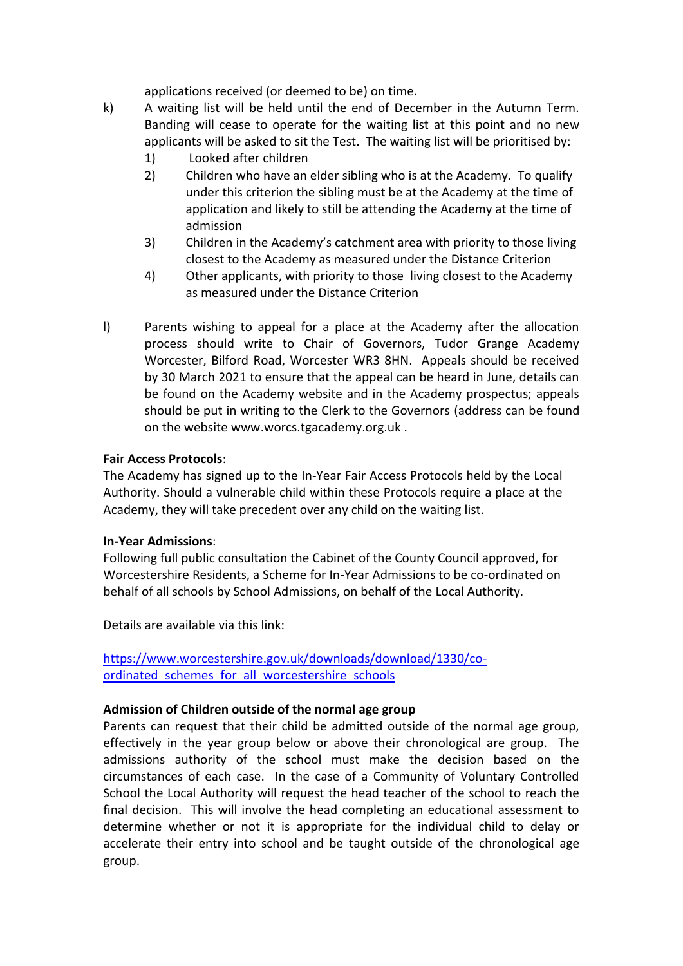applications received (or deemed to be) on time.

- k) A waiting list will be held until the end of December in the Autumn Term. Banding will cease to operate for the waiting list at this point and no new applicants will be asked to sit the Test. The waiting list will be prioritised by:
	- 1) Looked after children
	- 2) Children who have an elder sibling who is at the Academy. To qualify under this criterion the sibling must be at the Academy at the time of application and likely to still be attending the Academy at the time of admission
	- 3) Children in the Academy's catchment area with priority to those living closest to the Academy as measured under the Distance Criterion
	- 4) Other applicants, with priority to those living closest to the Academy as measured under the Distance Criterion
- l) Parents wishing to appeal for a place at the Academy after the allocation process should write to Chair of Governors, Tudor Grange Academy Worcester, Bilford Road, Worcester WR3 8HN. Appeals should be received by 30 March 2021 to ensure that the appeal can be heard in June, details can be found on the Academy website and in the Academy prospectus; appeals should be put in writing to the Clerk to the Governors (address can be found on the website www.worcs.tgacademy.org.uk .

# **Fai**r **Access Protocols**:

The Academy has signed up to the In‐Year Fair Access Protocols held by the Local Authority. Should a vulnerable child within these Protocols require a place at the Academy, they will take precedent over any child on the waiting list.

## **In‐Yea**r **Admissions**:

Following full public consultation the Cabinet of the County Council approved, for Worcestershire Residents, a Scheme for In-Year Admissions to be co-ordinated on behalf of all schools by School Admissions, on behalf of the Local Authority.

Details are available via this link:

[https://www.worcestershire.gov.uk/downloads/download/1330/co](https://www.worcestershire.gov.uk/downloads/download/1330/co-ordinated_schemes_for_all_worcestershire_schools)ordinated schemes for all worcestershire schools

# **Admission of Children outside of the normal age group**

Parents can request that their child be admitted outside of the normal age group, effectively in the year group below or above their chronological are group. The admissions authority of the school must make the decision based on the circumstances of each case. In the case of a Community of Voluntary Controlled School the Local Authority will request the head teacher of the school to reach the final decision. This will involve the head completing an educational assessment to determine whether or not it is appropriate for the individual child to delay or accelerate their entry into school and be taught outside of the chronological age group.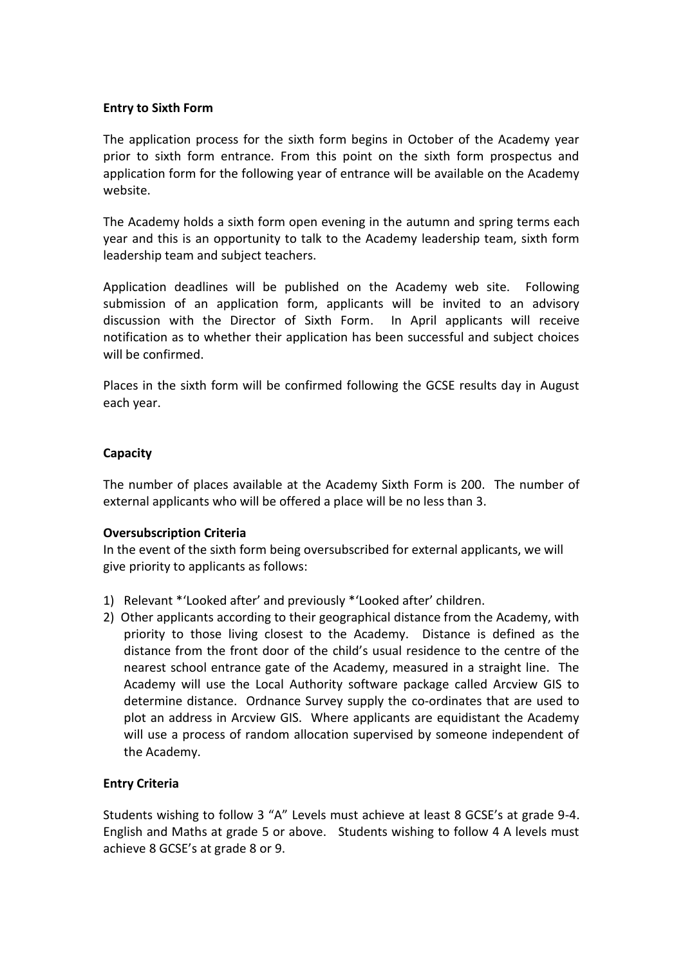## **Entry to Sixth Form**

The application process for the sixth form begins in October of the Academy year prior to sixth form entrance. From this point on the sixth form prospectus and application form for the following year of entrance will be available on the Academy website.

The Academy holds a sixth form open evening in the autumn and spring terms each year and this is an opportunity to talk to the Academy leadership team, sixth form leadership team and subject teachers.

Application deadlines will be published on the Academy web site. Following submission of an application form, applicants will be invited to an advisory discussion with the Director of Sixth Form. In April applicants will receive notification as to whether their application has been successful and subject choices will be confirmed.

Places in the sixth form will be confirmed following the GCSE results day in August each year.

## **Capacity**

The number of places available at the Academy Sixth Form is 200. The number of external applicants who will be offered a place will be no less than 3.

### **Oversubscription Criteria**

In the event of the sixth form being oversubscribed for external applicants, we will give priority to applicants as follows:

- 1) Relevant \*'Looked after' and previously \*'Looked after' children.
- 2) Other applicants according to their geographical distance from the Academy, with priority to those living closest to the Academy. Distance is defined as the distance from the front door of the child's usual residence to the centre of the nearest school entrance gate of the Academy, measured in a straight line. The Academy will use the Local Authority software package called Arcview GIS to determine distance. Ordnance Survey supply the co-ordinates that are used to plot an address in Arcview GIS. Where applicants are equidistant the Academy will use a process of random allocation supervised by someone independent of the Academy.

### **Entry Criteria**

Students wishing to follow 3 "A" Levels must achieve at least 8 GCSE's at grade 9-4. English and Maths at grade 5 or above. Students wishing to follow 4 A levels must achieve 8 GCSE's at grade 8 or 9.